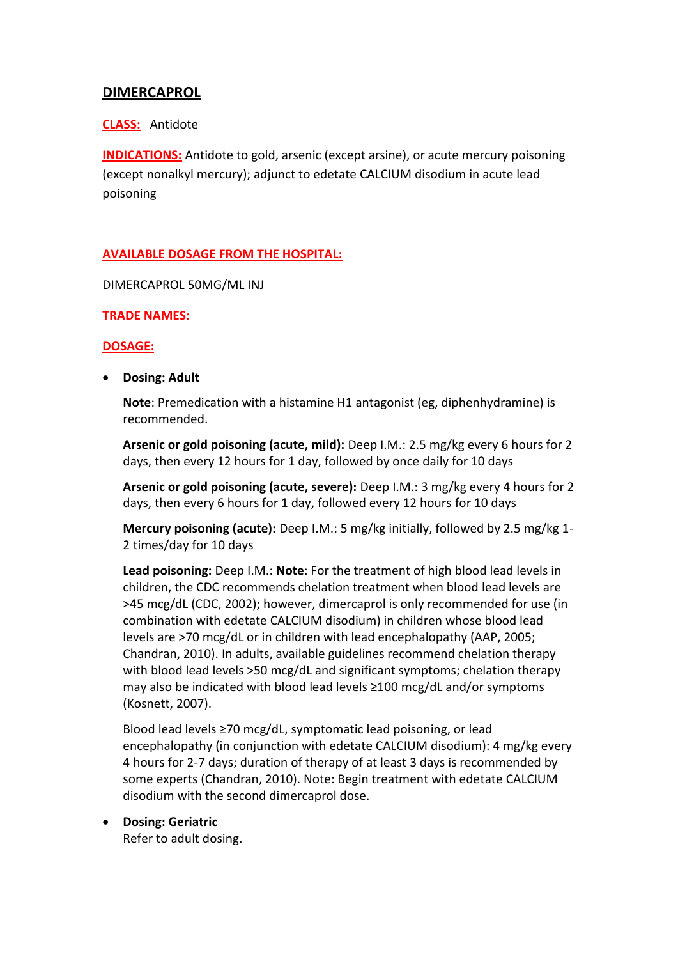# **DIMERCAPROL**

### **CLASS:** Antidote

**INDICATIONS:** Antidote to gold, arsenic (except arsine), or acute mercury poisoning (except nonalkyl mercury); adjunct to edetate CALCIUM disodium in acute lead poisoning

## **AVAILABLE DOSAGE FROM THE HOSPITAL:**

DIMERCAPROL 50MG/ML INJ

### **TRADE NAMES:**

### **DOSAGE:**

**Dosing: Adult**

**Note**: Premedication with a histamine H1 antagonist (eg, diphenhydramine) is recommended.

**Arsenic or gold poisoning (acute, mild):** Deep I.M.: 2.5 mg/kg every 6 hours for 2 days, then every 12 hours for 1 day, followed by once daily for 10 days

**Arsenic or gold poisoning (acute, severe):** Deep I.M.: 3 mg/kg every 4 hours for 2 days, then every 6 hours for 1 day, followed every 12 hours for 10 days

**Mercury poisoning (acute):** Deep I.M.: 5 mg/kg initially, followed by 2.5 mg/kg 1- 2 times/day for 10 days

**Lead poisoning:** Deep I.M.: **Note**: For the treatment of high blood lead levels in children, the CDC recommends chelation treatment when blood lead levels are >45 mcg/dL (CDC, 2002); however, dimercaprol is only recommended for use (in combination with edetate CALCIUM disodium) in children whose blood lead levels are >70 mcg/dL or in children with lead encephalopathy (AAP, 2005; Chandran, 2010). In adults, available guidelines recommend chelation therapy with blood lead levels >50 mcg/dL and significant symptoms; chelation therapy may also be indicated with blood lead levels ≥100 mcg/dL and/or symptoms (Kosnett, 2007).

Blood lead levels ≥70 mcg/dL, symptomatic lead poisoning, or lead encephalopathy (in conjunction with edetate CALCIUM disodium): 4 mg/kg every 4 hours for 2-7 days; duration of therapy of at least 3 days is recommended by some experts (Chandran, 2010). Note: Begin treatment with edetate CALCIUM disodium with the second dimercaprol dose.

# **Dosing: Geriatric**

Refer to adult dosing.